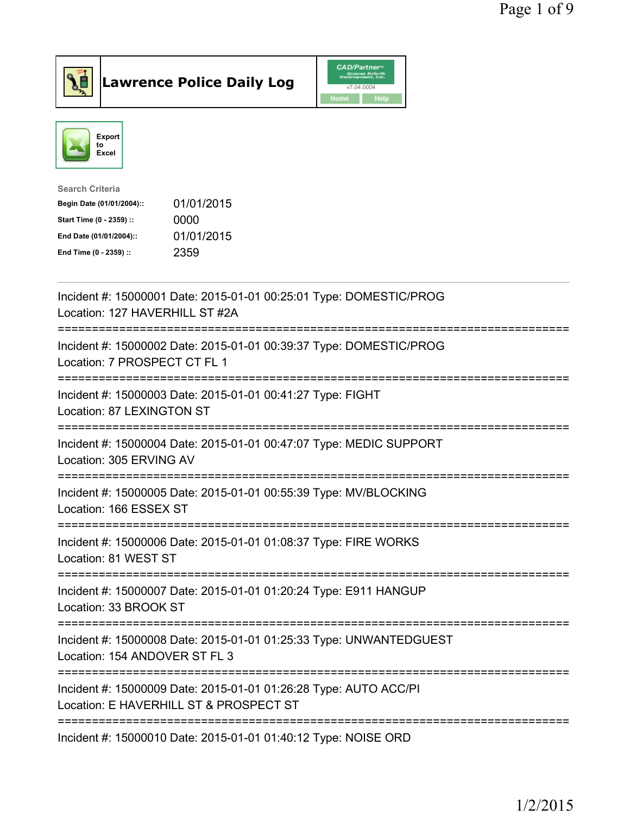



| <b>Search Criteria</b>    |            |
|---------------------------|------------|
| Begin Date (01/01/2004):: | 01/01/2015 |
| Start Time (0 - 2359) ::  | 0000       |
| End Date (01/01/2004)::   | 01/01/2015 |
| End Time (0 - 2359) ::    | 2359       |
|                           |            |

| Incident #: 15000001 Date: 2015-01-01 00:25:01 Type: DOMESTIC/PROG<br>Location: 127 HAVERHILL ST #2A                |
|---------------------------------------------------------------------------------------------------------------------|
| Incident #: 15000002 Date: 2015-01-01 00:39:37 Type: DOMESTIC/PROG<br>Location: 7 PROSPECT CT FL 1                  |
| Incident #: 15000003 Date: 2015-01-01 00:41:27 Type: FIGHT<br>Location: 87 LEXINGTON ST                             |
| Incident #: 15000004 Date: 2015-01-01 00:47:07 Type: MEDIC SUPPORT<br>Location: 305 ERVING AV<br>------------------ |
| Incident #: 15000005 Date: 2015-01-01 00:55:39 Type: MV/BLOCKING<br>Location: 166 ESSEX ST                          |
| Incident #: 15000006 Date: 2015-01-01 01:08:37 Type: FIRE WORKS<br>Location: 81 WEST ST                             |
| Incident #: 15000007 Date: 2015-01-01 01:20:24 Type: E911 HANGUP<br>Location: 33 BROOK ST                           |
| Incident #: 15000008 Date: 2015-01-01 01:25:33 Type: UNWANTEDGUEST<br>Location: 154 ANDOVER ST FL 3                 |
| Incident #: 15000009 Date: 2015-01-01 01:26:28 Type: AUTO ACC/PI<br>Location: E HAVERHILL ST & PROSPECT ST          |
| Incident #: 15000010 Date: 2015-01-01 01:40:12 Type: NOISE ORD                                                      |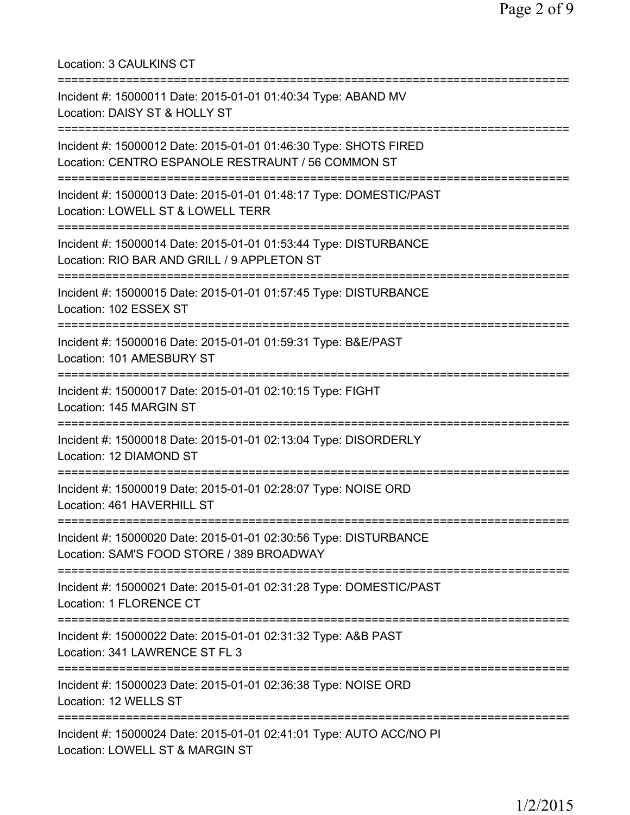Location: 3 CAULKINS CT =========================================================================== Incident #: 15000011 Date: 2015-01-01 01:40:34 Type: ABAND MV Location: DAISY ST & HOLLY ST =========================================================================== Incident #: 15000012 Date: 2015-01-01 01:46:30 Type: SHOTS FIRED Location: CENTRO ESPANOLE RESTRAUNT / 56 COMMON ST =========================================================================== Incident #: 15000013 Date: 2015-01-01 01:48:17 Type: DOMESTIC/PAST Location: LOWELL ST & LOWELL TERR =========================================================================== Incident #: 15000014 Date: 2015-01-01 01:53:44 Type: DISTURBANCE Location: RIO BAR AND GRILL / 9 APPLETON ST =========================================================================== Incident #: 15000015 Date: 2015-01-01 01:57:45 Type: DISTURBANCE Location: 102 ESSEX ST =========================================================================== Incident #: 15000016 Date: 2015-01-01 01:59:31 Type: B&E/PAST Location: 101 AMESBURY ST =========================================================================== Incident #: 15000017 Date: 2015-01-01 02:10:15 Type: FIGHT Location: 145 MARGIN ST =========================================================================== Incident #: 15000018 Date: 2015-01-01 02:13:04 Type: DISORDERLY Location: 12 DIAMOND ST =========================================================================== Incident #: 15000019 Date: 2015-01-01 02:28:07 Type: NOISE ORD Location: 461 HAVERHILL ST =========================================================================== Incident #: 15000020 Date: 2015-01-01 02:30:56 Type: DISTURBANCE Location: SAM'S FOOD STORE / 389 BROADWAY =========================================================================== Incident #: 15000021 Date: 2015-01-01 02:31:28 Type: DOMESTIC/PAST Location: 1 FLORENCE CT =========================================================================== Incident #: 15000022 Date: 2015-01-01 02:31:32 Type: A&B PAST Location: 341 LAWRENCE ST FL 3 =========================================================================== Incident #: 15000023 Date: 2015-01-01 02:36:38 Type: NOISE ORD Location: 12 WELLS ST =========================================================================== Incident #: 15000024 Date: 2015-01-01 02:41:01 Type: AUTO ACC/NO PI Location: LOWELL ST & MARGIN ST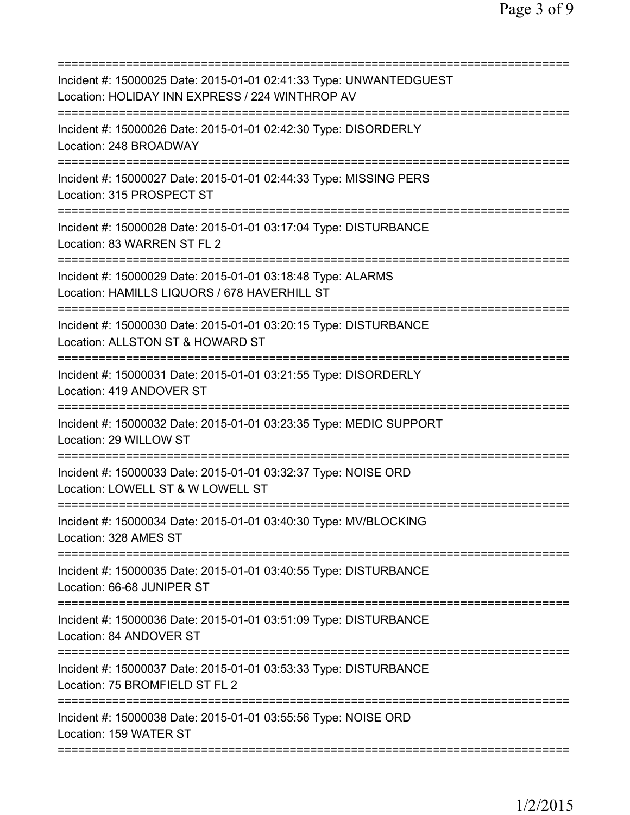| =========================                                                                                                        |
|----------------------------------------------------------------------------------------------------------------------------------|
| Incident #: 15000025 Date: 2015-01-01 02:41:33 Type: UNWANTEDGUEST<br>Location: HOLIDAY INN EXPRESS / 224 WINTHROP AV            |
| Incident #: 15000026 Date: 2015-01-01 02:42:30 Type: DISORDERLY<br>Location: 248 BROADWAY                                        |
| Incident #: 15000027 Date: 2015-01-01 02:44:33 Type: MISSING PERS<br>Location: 315 PROSPECT ST                                   |
| Incident #: 15000028 Date: 2015-01-01 03:17:04 Type: DISTURBANCE<br>Location: 83 WARREN ST FL 2                                  |
| Incident #: 15000029 Date: 2015-01-01 03:18:48 Type: ALARMS<br>Location: HAMILLS LIQUORS / 678 HAVERHILL ST                      |
| Incident #: 15000030 Date: 2015-01-01 03:20:15 Type: DISTURBANCE<br>Location: ALLSTON ST & HOWARD ST                             |
| Incident #: 15000031 Date: 2015-01-01 03:21:55 Type: DISORDERLY<br>Location: 419 ANDOVER ST                                      |
| Incident #: 15000032 Date: 2015-01-01 03:23:35 Type: MEDIC SUPPORT<br>Location: 29 WILLOW ST<br>================================ |
| Incident #: 15000033 Date: 2015-01-01 03:32:37 Type: NOISE ORD<br>Location: LOWELL ST & W LOWELL ST                              |
| Incident #: 15000034 Date: 2015-01-01 03:40:30 Type: MV/BLOCKING<br>Location: 328 AMES ST                                        |
| Incident #: 15000035 Date: 2015-01-01 03:40:55 Type: DISTURBANCE<br>Location: 66-68 JUNIPER ST                                   |
| Incident #: 15000036 Date: 2015-01-01 03:51:09 Type: DISTURBANCE<br>Location: 84 ANDOVER ST                                      |
| Incident #: 15000037 Date: 2015-01-01 03:53:33 Type: DISTURBANCE<br>Location: 75 BROMFIELD ST FL 2                               |
| Incident #: 15000038 Date: 2015-01-01 03:55:56 Type: NOISE ORD<br>Location: 159 WATER ST                                         |
|                                                                                                                                  |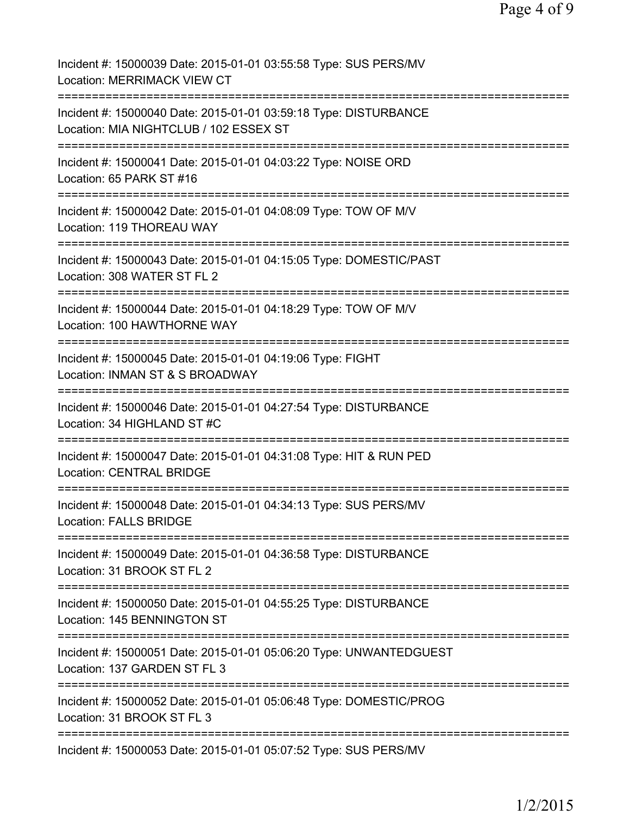| Incident #: 15000039 Date: 2015-01-01 03:55:58 Type: SUS PERS/MV<br>Location: MERRIMACK VIEW CT                   |
|-------------------------------------------------------------------------------------------------------------------|
| Incident #: 15000040 Date: 2015-01-01 03:59:18 Type: DISTURBANCE<br>Location: MIA NIGHTCLUB / 102 ESSEX ST        |
| Incident #: 15000041 Date: 2015-01-01 04:03:22 Type: NOISE ORD<br>Location: 65 PARK ST #16                        |
| Incident #: 15000042 Date: 2015-01-01 04:08:09 Type: TOW OF M/V<br>Location: 119 THOREAU WAY                      |
| Incident #: 15000043 Date: 2015-01-01 04:15:05 Type: DOMESTIC/PAST<br>Location: 308 WATER ST FL 2                 |
| Incident #: 15000044 Date: 2015-01-01 04:18:29 Type: TOW OF M/V<br>Location: 100 HAWTHORNE WAY                    |
| Incident #: 15000045 Date: 2015-01-01 04:19:06 Type: FIGHT<br>Location: INMAN ST & S BROADWAY                     |
| Incident #: 15000046 Date: 2015-01-01 04:27:54 Type: DISTURBANCE<br>Location: 34 HIGHLAND ST #C<br>============== |
| Incident #: 15000047 Date: 2015-01-01 04:31:08 Type: HIT & RUN PED<br><b>Location: CENTRAL BRIDGE</b>             |
| Incident #: 15000048 Date: 2015-01-01 04:34:13 Type: SUS PERS/MV<br><b>Location: FALLS BRIDGE</b>                 |
| Incident #: 15000049 Date: 2015-01-01 04:36:58 Type: DISTURBANCE<br>Location: 31 BROOK ST FL 2                    |
| Incident #: 15000050 Date: 2015-01-01 04:55:25 Type: DISTURBANCE<br>Location: 145 BENNINGTON ST                   |
| Incident #: 15000051 Date: 2015-01-01 05:06:20 Type: UNWANTEDGUEST<br>Location: 137 GARDEN ST FL 3                |
| Incident #: 15000052 Date: 2015-01-01 05:06:48 Type: DOMESTIC/PROG<br>Location: 31 BROOK ST FL 3                  |
| Incident #: 15000053 Date: 2015-01-01 05:07:52 Type: SUS PERS/MV                                                  |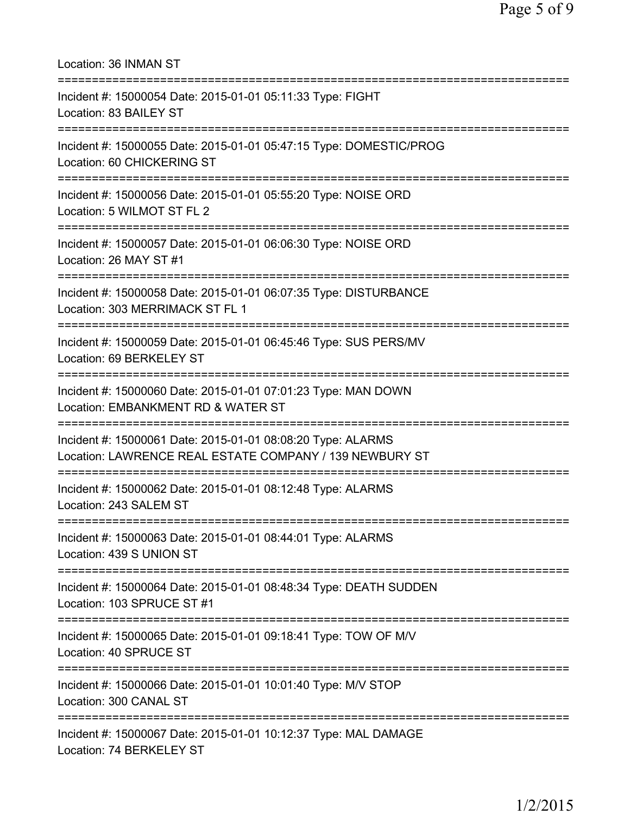| Location: 36 INMAN ST                                                                                                               |
|-------------------------------------------------------------------------------------------------------------------------------------|
| Incident #: 15000054 Date: 2015-01-01 05:11:33 Type: FIGHT<br>Location: 83 BAILEY ST<br>=========================                   |
| Incident #: 15000055 Date: 2015-01-01 05:47:15 Type: DOMESTIC/PROG<br>Location: 60 CHICKERING ST<br>=============================== |
| Incident #: 15000056 Date: 2015-01-01 05:55:20 Type: NOISE ORD<br>Location: 5 WILMOT ST FL 2<br>==================================  |
| Incident #: 15000057 Date: 2015-01-01 06:06:30 Type: NOISE ORD<br>Location: 26 MAY ST #1                                            |
| Incident #: 15000058 Date: 2015-01-01 06:07:35 Type: DISTURBANCE<br>Location: 303 MERRIMACK ST FL 1                                 |
| Incident #: 15000059 Date: 2015-01-01 06:45:46 Type: SUS PERS/MV<br>Location: 69 BERKELEY ST                                        |
| Incident #: 15000060 Date: 2015-01-01 07:01:23 Type: MAN DOWN<br>Location: EMBANKMENT RD & WATER ST<br>=========================    |
| Incident #: 15000061 Date: 2015-01-01 08:08:20 Type: ALARMS<br>Location: LAWRENCE REAL ESTATE COMPANY / 139 NEWBURY ST              |
| Incident #: 15000062 Date: 2015-01-01 08:12:48 Type: ALARMS<br>Location: 243 SALEM ST                                               |
| Incident #: 15000063 Date: 2015-01-01 08:44:01 Type: ALARMS<br>Location: 439 S UNION ST                                             |
| Incident #: 15000064 Date: 2015-01-01 08:48:34 Type: DEATH SUDDEN<br>Location: 103 SPRUCE ST #1                                     |
| Incident #: 15000065 Date: 2015-01-01 09:18:41 Type: TOW OF M/V<br>Location: 40 SPRUCE ST                                           |
| Incident #: 15000066 Date: 2015-01-01 10:01:40 Type: M/V STOP<br>Location: 300 CANAL ST                                             |
| Incident #: 15000067 Date: 2015-01-01 10:12:37 Type: MAL DAMAGE<br>Location: 74 BERKELEY ST                                         |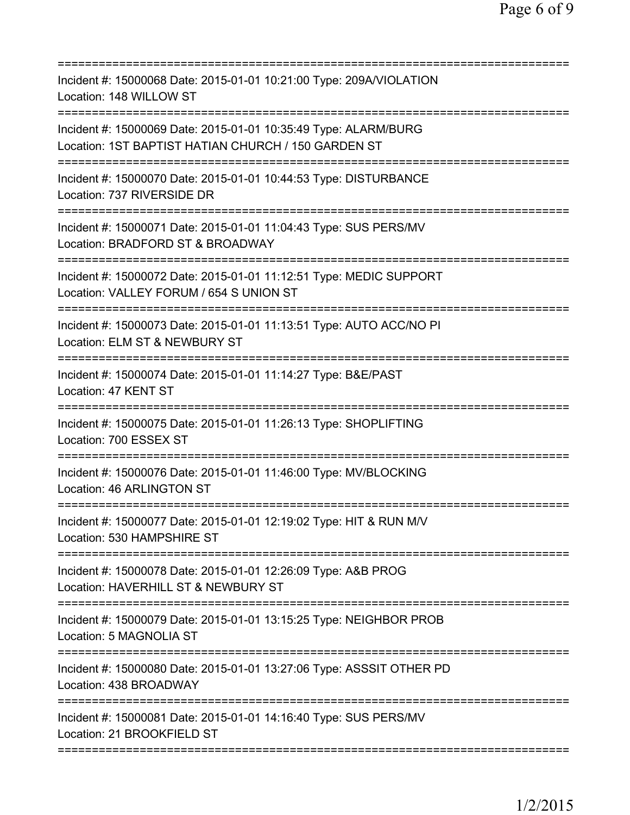| Incident #: 15000068 Date: 2015-01-01 10:21:00 Type: 209A/VIOLATION<br>Location: 148 WILLOW ST                                                 |
|------------------------------------------------------------------------------------------------------------------------------------------------|
| Incident #: 15000069 Date: 2015-01-01 10:35:49 Type: ALARM/BURG<br>Location: 1ST BAPTIST HATIAN CHURCH / 150 GARDEN ST                         |
| Incident #: 15000070 Date: 2015-01-01 10:44:53 Type: DISTURBANCE<br>Location: 737 RIVERSIDE DR                                                 |
| Incident #: 15000071 Date: 2015-01-01 11:04:43 Type: SUS PERS/MV<br>Location: BRADFORD ST & BROADWAY                                           |
| =============================<br>Incident #: 15000072 Date: 2015-01-01 11:12:51 Type: MEDIC SUPPORT<br>Location: VALLEY FORUM / 654 S UNION ST |
| =============================<br>Incident #: 15000073 Date: 2015-01-01 11:13:51 Type: AUTO ACC/NO PI<br>Location: ELM ST & NEWBURY ST          |
| Incident #: 15000074 Date: 2015-01-01 11:14:27 Type: B&E/PAST<br>Location: 47 KENT ST                                                          |
| Incident #: 15000075 Date: 2015-01-01 11:26:13 Type: SHOPLIFTING<br>Location: 700 ESSEX ST                                                     |
| Incident #: 15000076 Date: 2015-01-01 11:46:00 Type: MV/BLOCKING<br>Location: 46 ARLINGTON ST                                                  |
| Incident #: 15000077 Date: 2015-01-01 12:19:02 Type: HIT & RUN M/V<br>Location: 530 HAMPSHIRE ST                                               |
| Incident #: 15000078 Date: 2015-01-01 12:26:09 Type: A&B PROG<br>Location: HAVERHILL ST & NEWBURY ST                                           |
| Incident #: 15000079 Date: 2015-01-01 13:15:25 Type: NEIGHBOR PROB<br>Location: 5 MAGNOLIA ST                                                  |
| Incident #: 15000080 Date: 2015-01-01 13:27:06 Type: ASSSIT OTHER PD<br>Location: 438 BROADWAY                                                 |
| Incident #: 15000081 Date: 2015-01-01 14:16:40 Type: SUS PERS/MV<br>Location: 21 BROOKFIELD ST                                                 |
|                                                                                                                                                |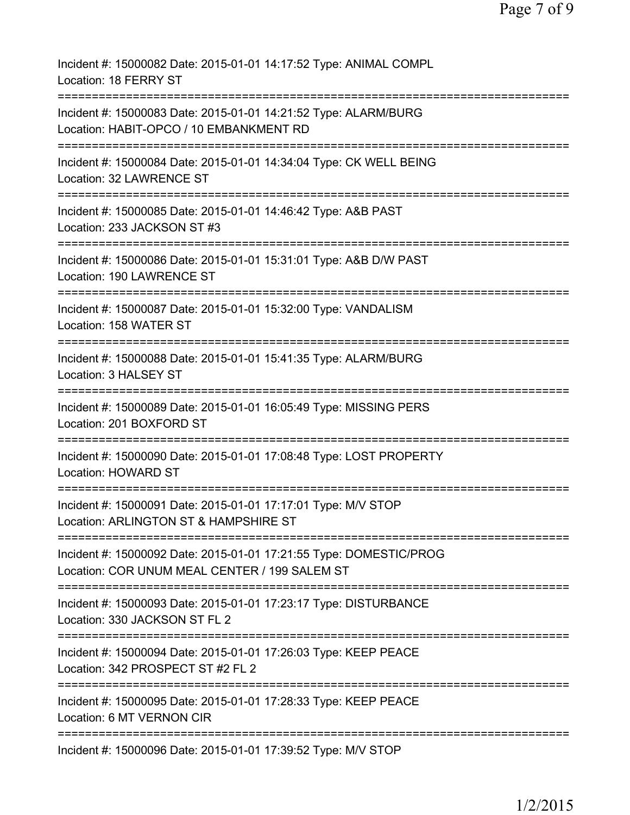| Incident #: 15000082 Date: 2015-01-01 14:17:52 Type: ANIMAL COMPL<br>Location: 18 FERRY ST                          |
|---------------------------------------------------------------------------------------------------------------------|
| Incident #: 15000083 Date: 2015-01-01 14:21:52 Type: ALARM/BURG<br>Location: HABIT-OPCO / 10 EMBANKMENT RD          |
| Incident #: 15000084 Date: 2015-01-01 14:34:04 Type: CK WELL BEING<br>Location: 32 LAWRENCE ST                      |
| Incident #: 15000085 Date: 2015-01-01 14:46:42 Type: A&B PAST<br>Location: 233 JACKSON ST #3                        |
| Incident #: 15000086 Date: 2015-01-01 15:31:01 Type: A&B D/W PAST<br>Location: 190 LAWRENCE ST                      |
| Incident #: 15000087 Date: 2015-01-01 15:32:00 Type: VANDALISM<br>Location: 158 WATER ST                            |
| Incident #: 15000088 Date: 2015-01-01 15:41:35 Type: ALARM/BURG<br>Location: 3 HALSEY ST                            |
| Incident #: 15000089 Date: 2015-01-01 16:05:49 Type: MISSING PERS<br>Location: 201 BOXFORD ST                       |
| Incident #: 15000090 Date: 2015-01-01 17:08:48 Type: LOST PROPERTY<br>Location: HOWARD ST                           |
| Incident #: 15000091 Date: 2015-01-01 17:17:01 Type: M/V STOP<br>Location: ARLINGTON ST & HAMPSHIRE ST              |
| Incident #: 15000092 Date: 2015-01-01 17:21:55 Type: DOMESTIC/PROG<br>Location: COR UNUM MEAL CENTER / 199 SALEM ST |
| Incident #: 15000093 Date: 2015-01-01 17:23:17 Type: DISTURBANCE<br>Location: 330 JACKSON ST FL 2                   |
| Incident #: 15000094 Date: 2015-01-01 17:26:03 Type: KEEP PEACE<br>Location: 342 PROSPECT ST #2 FL 2                |
| Incident #: 15000095 Date: 2015-01-01 17:28:33 Type: KEEP PEACE<br>Location: 6 MT VERNON CIR                        |
| Incident #: 15000096 Date: 2015-01-01 17:39:52 Type: M/V STOP                                                       |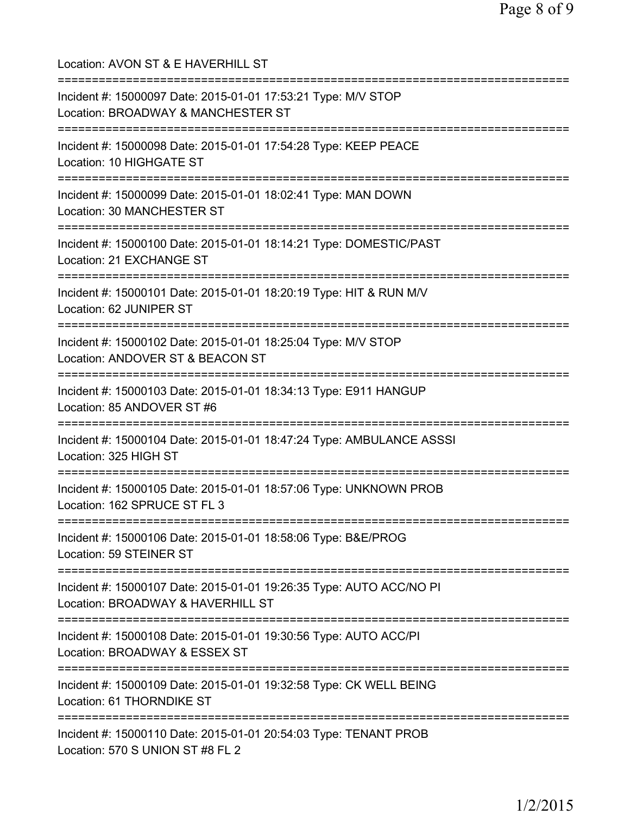Location: AVON ST & E HAVERHILL ST =========================================================================== Incident #: 15000097 Date: 2015-01-01 17:53:21 Type: M/V STOP Location: BROADWAY & MANCHESTER ST =========================================================================== Incident #: 15000098 Date: 2015-01-01 17:54:28 Type: KEEP PEACE Location: 10 HIGHGATE ST =========================================================================== Incident #: 15000099 Date: 2015-01-01 18:02:41 Type: MAN DOWN Location: 30 MANCHESTER ST =========================================================================== Incident #: 15000100 Date: 2015-01-01 18:14:21 Type: DOMESTIC/PAST Location: 21 EXCHANGE ST =========================================================================== Incident #: 15000101 Date: 2015-01-01 18:20:19 Type: HIT & RUN M/V Location: 62 JUNIPER ST =========================================================================== Incident #: 15000102 Date: 2015-01-01 18:25:04 Type: M/V STOP Location: ANDOVER ST & BEACON ST =========================================================================== Incident #: 15000103 Date: 2015-01-01 18:34:13 Type: E911 HANGUP Location: 85 ANDOVER ST #6 =========================================================================== Incident #: 15000104 Date: 2015-01-01 18:47:24 Type: AMBULANCE ASSSI Location: 325 HIGH ST =========================================================================== Incident #: 15000105 Date: 2015-01-01 18:57:06 Type: UNKNOWN PROB Location: 162 SPRUCE ST FL 3 =========================================================================== Incident #: 15000106 Date: 2015-01-01 18:58:06 Type: B&E/PROG Location: 59 STEINER ST =========================================================================== Incident #: 15000107 Date: 2015-01-01 19:26:35 Type: AUTO ACC/NO PI Location: BROADWAY & HAVERHILL ST =========================================================================== Incident #: 15000108 Date: 2015-01-01 19:30:56 Type: AUTO ACC/PI Location: BROADWAY & ESSEX ST =========================================================================== Incident #: 15000109 Date: 2015-01-01 19:32:58 Type: CK WELL BEING Location: 61 THORNDIKE ST =========================================================================== Incident #: 15000110 Date: 2015-01-01 20:54:03 Type: TENANT PROB Location: 570 S UNION ST #8 FL 2